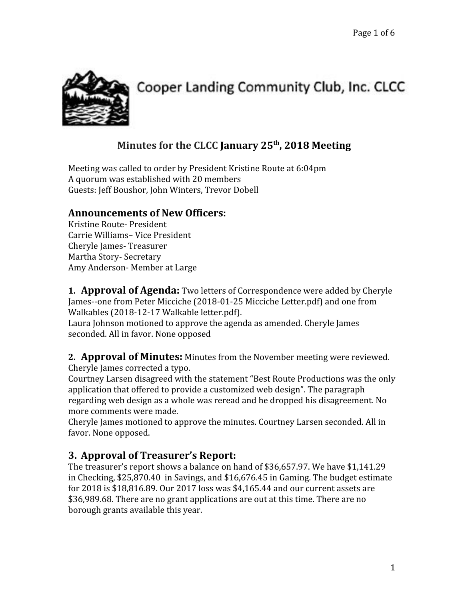

# Cooper Landing Community Club, Inc. CLCC

# **Minutes for the CLCC January 25 th , 2018 Meeting**

Meeting was called to order by President Kristine Route at 6:04pm A quorum was established with 20 members Guests: Jeff Boushor, John Winters, Trevor Dobell

#### **Announcements of New Officers:**

Kristine Route- President Carrie Williams– Vice President Cheryle James- Treasurer Martha Story- Secretary Amy Anderson- Member at Large

**1. Approval of Agenda:** Two letters of Correspondence were added by Cheryle James--one from Peter Micciche (2018-01-25 Micciche Letter.pdf) and one from Walkables (2018-12-17 Walkable letter.pdf).

Laura Johnson motioned to approve the agenda as amended. Cheryle James seconded. All in favor. None opposed

#### **2. Approval of Minutes:** Minutes from the November meeting were reviewed. Cheryle James corrected a typo.

Courtney Larsen disagreed with the statement "Best Route Productions was the only application that offered to provide a customized web design". The paragraph regarding web design as a whole was reread and he dropped his disagreement. No more comments were made.

Cheryle James motioned to approve the minutes. Courtney Larsen seconded. All in favor. None opposed.

### **3. Approval of Treasurer's Report:**

The treasurer's report shows a balance on hand of \$36,657.97. We have \$1,141.29 in Checking, \$25,870.40 in Savings, and \$16,676.45 in Gaming. The budget estimate for 2018 is \$18,816.89. Our 2017 loss was \$4,165.44 and our current assets are \$36,989.68. There are no grant applications are out at this time. There are no borough grants available this year.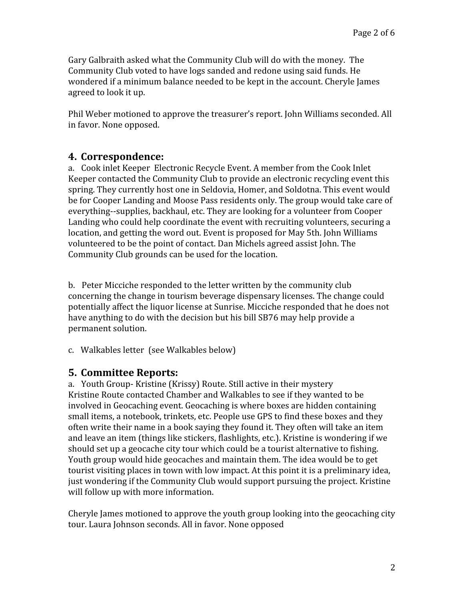Gary Galbraith asked what the Community Club will do with the money. The Community Club voted to have logs sanded and redone using said funds. He wondered if a minimum balance needed to be kept in the account. Cheryle James agreed to look it up.

Phil Weber motioned to approve the treasurer's report. John Williams seconded. All in favor. None opposed.

#### **4. Correspondence:**

a. Cook inlet Keeper Electronic Recycle Event. A member from the Cook Inlet Keeper contacted the Community Club to provide an electronic recycling event this spring. They currently host one in Seldovia, Homer, and Soldotna. This event would be for Cooper Landing and Moose Pass residents only. The group would take care of everything--supplies, backhaul, etc. They are looking for a volunteer from Cooper Landing who could help coordinate the event with recruiting volunteers, securing a location, and getting the word out. Event is proposed for May 5th. John Williams volunteered to be the point of contact. Dan Michels agreed assist John. The Community Club grounds can be used for the location.

b. Peter Micciche responded to the letter written by the community club concerning the change in tourism beverage dispensary licenses. The change could potentially affect the liquor license at Sunrise. Micciche responded that he does not have anything to do with the decision but his bill SB76 may help provide a permanent solution.

c. Walkables letter (see Walkables below)

#### **5. Committee Reports:**

a. Youth Group- Kristine (Krissy) Route. Still active in their mystery Kristine Route contacted Chamber and Walkables to see if they wanted to be involved in Geocaching event. Geocaching is where boxes are hidden containing small items, a notebook, trinkets, etc. People use GPS to find these boxes and they often write their name in a book saying they found it. They often will take an item and leave an item (things like stickers, flashlights, etc.). Kristine is wondering if we should set up a geocache city tour which could be a tourist alternative to fishing. Youth group would hide geocaches and maintain them. The idea would be to get tourist visiting places in town with low impact. At this point it is a preliminary idea, just wondering if the Community Club would support pursuing the project. Kristine will follow up with more information.

Cheryle James motioned to approve the youth group looking into the geocaching city tour. Laura Johnson seconds. All in favor. None opposed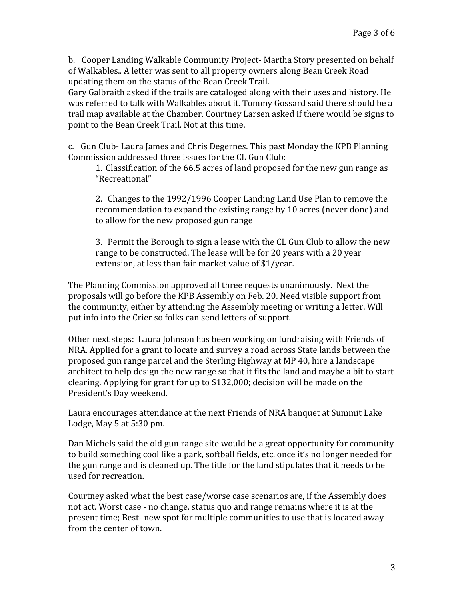b. Cooper Landing Walkable Community Project- Martha Story presented on behalf of Walkables.. A letter was sent to all property owners along Bean Creek Road updating them on the status of the Bean Creek Trail.

Gary Galbraith asked if the trails are cataloged along with their uses and history. He was referred to talk with Walkables about it. Tommy Gossard said there should be a trail map available at the Chamber. Courtney Larsen asked if there would be signs to point to the Bean Creek Trail. Not at this time.

c. Gun Club- Laura James and Chris Degernes. This past Monday the KPB Planning Commission addressed three issues for the CL Gun Club:

1. Classification of the 66.5 acres of land proposed for the new gun range as "Recreational"

2. Changes to the 1992/1996 Cooper Landing Land Use Plan to remove the recommendation to expand the existing range by 10 acres (never done) and to allow for the new proposed gun range

3. Permit the Borough to sign a lease with the CL Gun Club to allow the new range to be constructed. The lease will be for 20 years with a 20 year extension, at less than fair market value of \$1/year.

The Planning Commission approved all three requests unanimously. Next the proposals will go before the KPB Assembly on Feb. 20. Need visible support from the community, either by attending the Assembly meeting or writing a letter. Will put info into the Crier so folks can send letters of support.

Other next steps: Laura Johnson has been working on fundraising with Friends of NRA. Applied for a grant to locate and survey a road across State lands between the proposed gun range parcel and the Sterling Highway at MP 40, hire a landscape architect to help design the new range so that it fits the land and maybe a bit to start clearing. Applying for grant for up to \$132,000; decision will be made on the President's Day weekend.

Laura encourages attendance at the next Friends of NRA banquet at Summit Lake Lodge, May 5 at 5:30 pm.

Dan Michels said the old gun range site would be a great opportunity for community to build something cool like a park, softball fields, etc. once it's no longer needed for the gun range and is cleaned up. The title for the land stipulates that it needs to be used for recreation.

Courtney asked what the best case/worse case scenarios are, if the Assembly does not act. Worst case - no change, status quo and range remains where it is at the present time; Best- new spot for multiple communities to use that is located away from the center of town.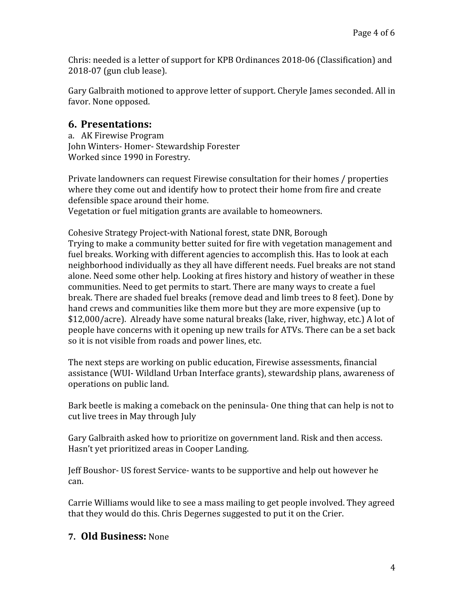Chris: needed is a letter of support for KPB Ordinances 2018-06 (Classification) and 2018-07 (gun club lease).

Gary Galbraith motioned to approve letter of support. Cheryle James seconded. All in favor. None opposed.

#### **6. Presentations:**

a. AK Firewise Program John Winters- Homer- Stewardship Forester Worked since 1990 in Forestry.

Private landowners can request Firewise consultation for their homes / properties where they come out and identify how to protect their home from fire and create defensible space around their home.

Vegetation or fuel mitigation grants are available to homeowners.

Cohesive Strategy Project-with National forest, state DNR, Borough Trying to make a community better suited for fire with vegetation management and fuel breaks. Working with different agencies to accomplish this. Has to look at each neighborhood individually as they all have different needs. Fuel breaks are not stand alone. Need some other help. Looking at fires history and history of weather in these communities. Need to get permits to start. There are many ways to create a fuel break. There are shaded fuel breaks (remove dead and limb trees to 8 feet). Done by hand crews and communities like them more but they are more expensive (up to \$12,000/acre). Already have some natural breaks (lake, river, highway, etc.) A lot of people have concerns with it opening up new trails for ATVs. There can be a set back so it is not visible from roads and power lines, etc.

The next steps are working on public education, Firewise assessments, financial assistance (WUI- Wildland Urban Interface grants), stewardship plans, awareness of operations on public land.

Bark beetle is making a comeback on the peninsula- One thing that can help is not to cut live trees in May through July

Gary Galbraith asked how to prioritize on government land. Risk and then access. Hasn't yet prioritized areas in Cooper Landing.

Jeff Boushor- US forest Service- wants to be supportive and help out however he can.

Carrie Williams would like to see a mass mailing to get people involved. They agreed that they would do this. Chris Degernes suggested to put it on the Crier.

#### **7. Old Business:** None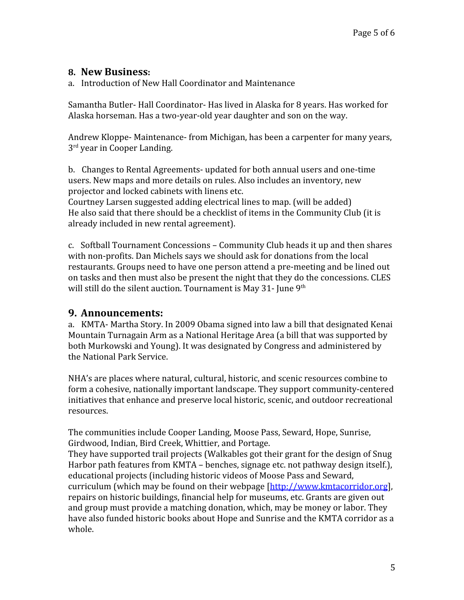#### **8. New Business:**

a. Introduction of New Hall Coordinator and Maintenance

Samantha Butler- Hall Coordinator- Has lived in Alaska for 8 years. Has worked for Alaska horseman. Has a two-year-old year daughter and son on the way.

Andrew Kloppe- Maintenance- from Michigan, has been a carpenter for many years, 3<sup>rd</sup> year in Cooper Landing.

b. Changes to Rental Agreements- updated for both annual users and one-time users. New maps and more details on rules. Also includes an inventory, new projector and locked cabinets with linens etc.

Courtney Larsen suggested adding electrical lines to map. (will be added) He also said that there should be a checklist of items in the Community Club (it is already included in new rental agreement).

c. Softball Tournament Concessions – Community Club heads it up and then shares with non-profits. Dan Michels says we should ask for donations from the local restaurants. Groups need to have one person attend a pre-meeting and be lined out on tasks and then must also be present the night that they do the concessions. CLES will still do the silent auction. Tournament is May 31- June  $9<sup>th</sup>$ 

#### **9. Announcements:**

a. KMTA- Martha Story. In 2009 Obama signed into law a bill that designated Kenai Mountain Turnagain Arm as a National Heritage Area (a bill that was supported by both Murkowski and Young). It was designated by Congress and administered by the National Park Service.

NHA's are places where natural, cultural, historic, and scenic resources combine to form a cohesive, nationally important landscape. They support community-centered initiatives that enhance and preserve local historic, scenic, and outdoor recreational resources.

The communities include Cooper Landing, Moose Pass, Seward, Hope, Sunrise, Girdwood, Indian, Bird Creek, Whittier, and Portage.

They have supported trail projects (Walkables got their grant for the design of Snug Harbor path features from KMTA – benches, signage etc. not pathway design itself.), educational projects (including historic videos of Moose Pass and Seward,

curriculum (which may be found on their webpage [[http://www.kmtacorridor.org\]](http://www.kmtacorridor.org/), repairs on historic buildings, financial help for museums, etc. Grants are given out and group must provide a matching donation, which, may be money or labor. They have also funded historic books about Hope and Sunrise and the KMTA corridor as a whole.